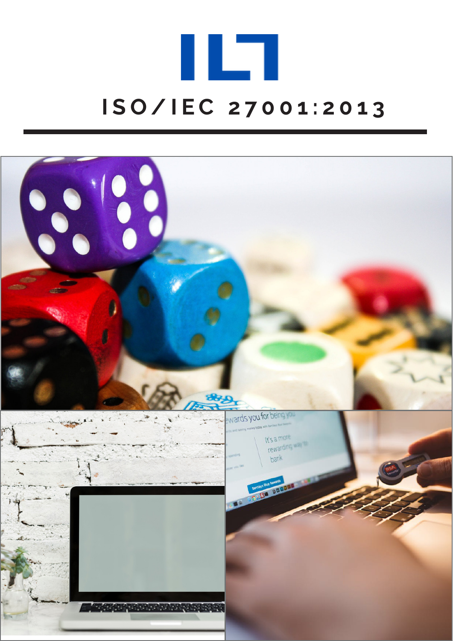

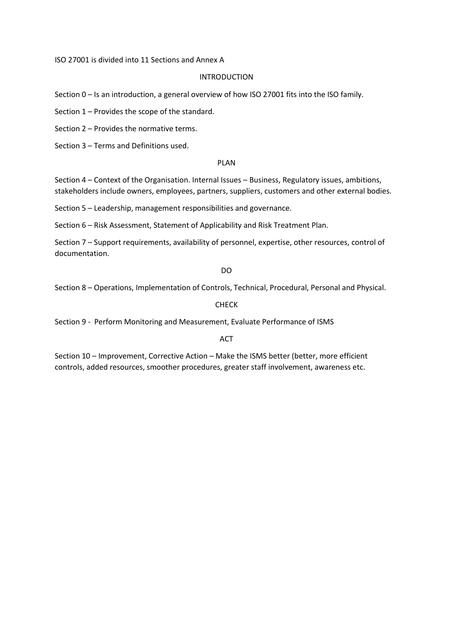ISO 27001 is divided into 11 Sections and Annex A

### INTRODUCTION

Section 0 – Is an introduction, a general overview of how ISO 27001 fits into the ISO family.

Section 1 – Provides the scope of the standard.

Section 2 – Provides the normative terms.

Section 3 – Terms and Definitions used.

### PLAN

Section 4 – Context of the Organisation. Internal Issues – Business, Regulatory issues, ambitions, stakeholders include owners, employees, partners, suppliers, customers and other external bodies.

Section 5 – Leadership, management responsibilities and governance.

Section 6 – Risk Assessment, Statement of Applicability and Risk Treatment Plan.

Section 7 – Support requirements, availability of personnel, expertise, other resources, control of documentation.

DO

Section 8 – Operations, Implementation of Controls, Technical, Procedural, Personal and Physical.

CHECK

Section 9 - Perform Monitoring and Measurement, Evaluate Performance of ISMS

### ACT

Section 10 – Improvement, Corrective Action – Make the ISMS better (better, more efficient controls, added resources, smoother procedures, greater staff involvement, awareness etc.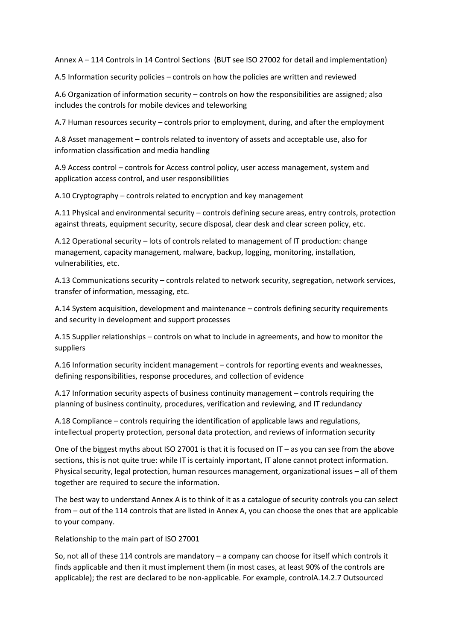Annex A – 114 Controls in 14 Control Sections (BUT see ISO 27002 for detail and implementation)

A.5 Information security policies – controls on how the policies are written and reviewed

A.6 Organization of information security – controls on how the responsibilities are assigned; also includes the controls for mobile devices and teleworking

A.7 Human resources security – controls prior to employment, during, and after the employment

A.8 Asset management – controls related to inventory of assets and acceptable use, also for information classification and media handling

A.9 Access control – controls for Access control policy, user access management, system and application access control, and user responsibilities

A.10 Cryptography – controls related to encryption and key management

A.11 Physical and environmental security – controls defining secure areas, entry controls, protection against threats, equipment security, secure disposal, clear desk and clear screen policy, etc.

A.12 Operational security – lots of controls related to management of IT production: change management, capacity management, malware, backup, logging, monitoring, installation, vulnerabilities, etc.

A.13 Communications security – controls related to network security, segregation, network services, transfer of information, messaging, etc.

A.14 System acquisition, development and maintenance – controls defining security requirements and security in development and support processes

A.15 Supplier relationships – controls on what to include in agreements, and how to monitor the suppliers

A.16 Information security incident management – controls for reporting events and weaknesses, defining responsibilities, response procedures, and collection of evidence

A.17 Information security aspects of business continuity management – controls requiring the planning of business continuity, procedures, verification and reviewing, and IT redundancy

A.18 Compliance – controls requiring the identification of applicable laws and regulations, intellectual property protection, personal data protection, and reviews of information security

One of the biggest myths abou[t ISO 27001](https://advisera.com/27001academy/?page_id=376&icn=free-what-is-iso-27001&ici=top-iso-27001-txt) is that it is focused on IT – as you can see from the above sections, this is not quite true: while IT is certainly important, IT alone cannot protect information. Physical security, legal protection, human resources management, organizational issues – all of them together are required to secure the information.

The best way to understand Annex A is to think of it as a catalogue of security controls you can select from – out of the 114 controls that are listed in Annex A, you can choose the ones that are applicable to your company.

Relationship to the main part of ISO 27001

So, not all of these 114 controls are mandatory – a company can choose for itself which controls it finds applicable and then it must implement them (in most cases, at least 90% of the controls are applicable); the rest are declared to be non-applicable. For example, controlA.14.2.7 Outsourced